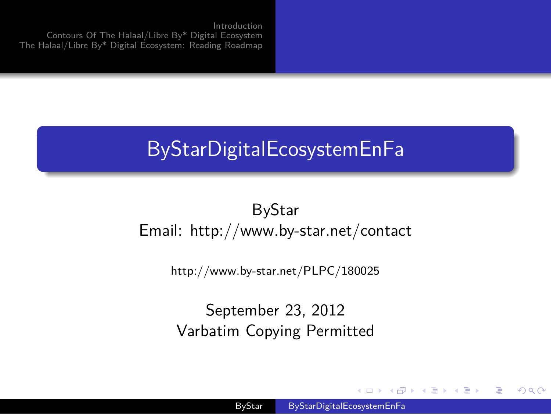Introduction Contours Of The Halaal/Libre By\* Digital Ecosystem The Halaal/Libre By\* Digital Ecosystem: Reading Roadmap

.

## .. . ByStarDigitalEcosystemEnFa

ByStar Email: http://www.by-star.net/contact

http://www.by-star.net/PLPC/180025

September 23, 2012 Varbatim Copying Permitted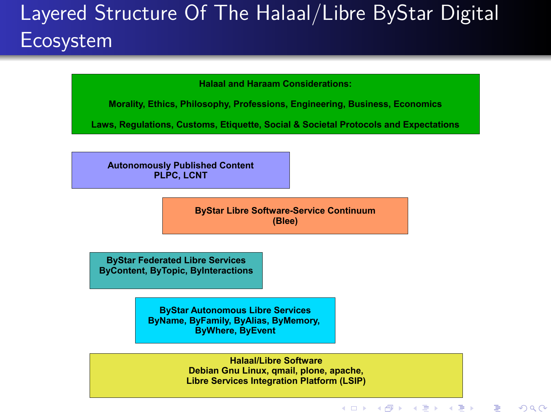## Layered Structure Of The Halaal/Libre ByStar Digital Ecosystem

**Halaal and Haraam Considerations:**

**Morality, Ethics, Philosophy, Professions, Engineering, Business, Economics**

**Laws, Regulations, Customs, Etiquette, Social & Societal Protocols and Expectations**

**Autonomously Published Content PLPC, LCNT**

.

**ByStar Libre Software-Service Continuum (Blee)**

**ByStar Federated Libre Services ByContent, ByTopic, ByInteractions**

> **ByStar Autonomous Libre Services ByName, ByFamily, ByAlias, ByMemory, ByWhere, ByEvent**

> > **Halaal/Libre Software Debian Gnu Linux, qmail, plone, apache, Libre Services Integration Platform (LSIP)**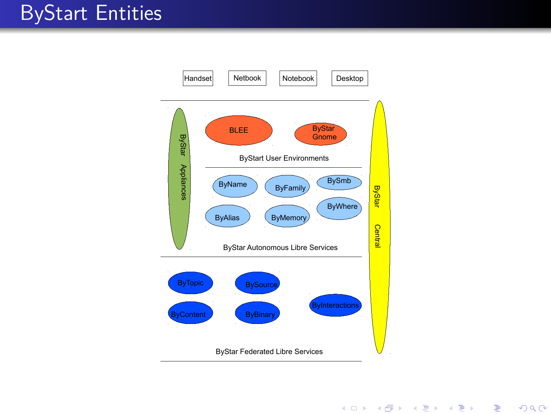## ByStart Entities

.



. . . . . .